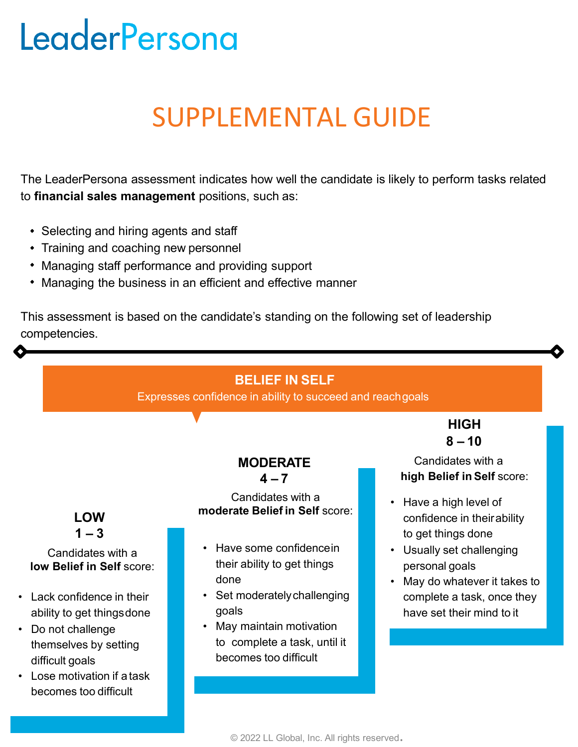# LeaderPersona

# SUPPLEMENTAL GUIDE

The LeaderPersona assessment indicates how well the candidate is likely to perform tasks related to **financial sales management** positions, such as:

- Selecting and hiring agents and staff
- Training and coaching new personnel
- Managing staff performance and providing support
- Managing the business in an efficient and effective manner

This assessment is based on the candidate's standing on the following set of leadership competencies.

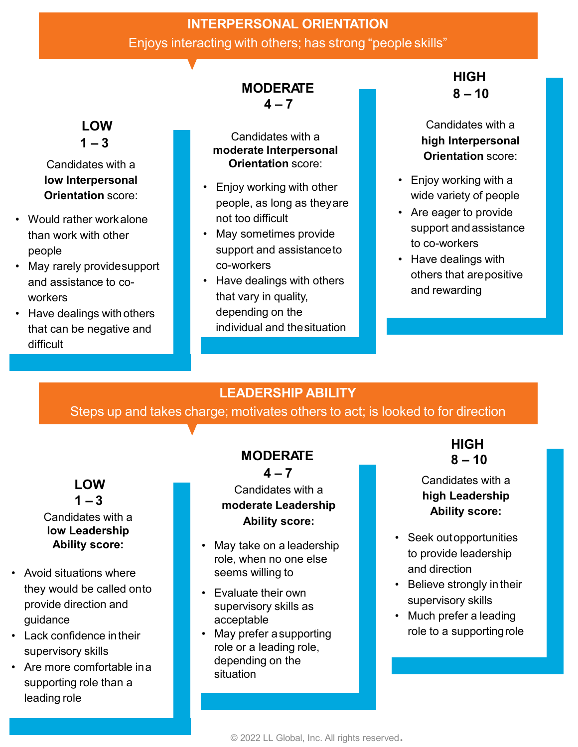# **INTERPERSONAL ORIENTATION** Enjoys interacting with others; has strong "people skills"

# **MODERATE**

 $4 - 7$ 

Candidates with a **moderate Interpersonal Orientation** score:

- **Orientation** score: **•** Enjoy working with other **Orientation** score: people, as long as theyare not too difficult
	- May sometimes provide support and assistance to co-workers
	- Have dealings with others that vary in quality, depending on the individual and thesituation

### **HIGH 8 – 10**

Candidates with a **high Interpersonal Orientation** score:

- Enjoy working with a wide variety of people
- Are eager to provide support andassistance to co-workers
- Have dealings with others that arepositive and rewarding

## **LEADERSHIP ABILITY**

Steps up and takes charge; motivates others to act; is looked to for direction

## **LOW**

• Would rather workalone than work with other

and assistance to co-

• Have dealings withothers that can be negative and

• May rarely providesupport

**LOW**  $1 - 3$ 

Candidates with a **low Interpersonal** 

people

workers

difficult

#### $1 - 3$ Candidates with a **low Leadership Ability score:**

- Avoid situations where they would be called onto provide direction and guidance
- Lack confidence intheir supervisory skills
- Are more comfortable ina supporting role than a leading role

# **MODERATE**

 $4 - 7$ 

#### Candidates with a **moderate Leadership Ability score:**

- May take on a leadership role, when no one else seems willing to
- Evaluate their own supervisory skills as acceptable
- May prefer asupporting role or a leading role, depending on the situation

**HIGH 8 – 10**

#### Candidates with a **high Leadership Ability score:**

- Seek outopportunities to provide leadership and direction
- Believe strongly intheir supervisory skills
- Much prefer a leading role to a supportingrole

© 2022 LL Global, Inc. All rights reserved.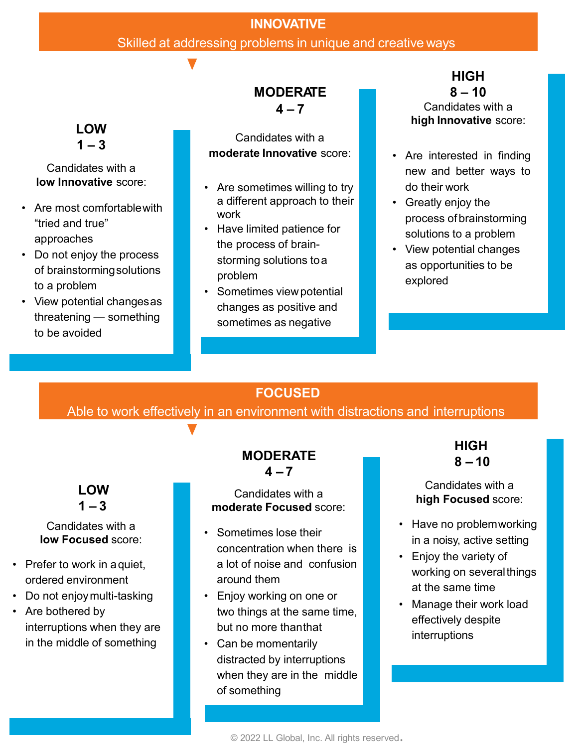#### **INNOVATIVE**

#### Skilled at addressing problems in unique and creative ways

#### **MODERATE**  $4 - 7$

Candidates with a **moderate Innovative** score: • **•** Are interested in finding

- **low Innovative** score: **•** Are sometimes willing to try a different approach to their work
	- Have limited patience for the process of brainstorming solutions toa problem
	- Sometimes viewpotential changes as positive and sometimes as negative

**HIGH 8 – 10** Candidates with a **high Innovative** score:

- new and better ways to do their work
- Greatly enjoy the process of brainstorming solutions to a problem
- View potential changes as opportunities to be explored

## **FOCUSED**

Able to work effectively in an environment with distractions and interruptions

#### **LOW**  $1 - 3$

# Candidates with a

- Prefer to work in aquiet, ordered environment
- Do not enjoymulti-tasking
- Are bothered by interruptions when they are in the middle of something

#### **MODERATE**  $4 - 7$

#### Candidates with a **moderate Focused** score:

- **low Focused** score: Sometimes lose their concentration when there is a lot of noise and confusion around them
	- Enjoy working on one or two things at the same time, but no more thanthat
	- Can be momentarily distracted by interruptions when they are in the middle of something

**HIGH 8 – 10**

#### Candidates with a **high Focused** score:

- Have no problemworking in a noisy, active setting
- Enjoy the variety of working on severalthings at the same time
- Manage their work load effectively despite interruptions

© 2022 LL Global, Inc. All rights reserved.

#### **LOW**  $1 - 3$

Candidates with a

- Are most comfortablewith "tried and true" approaches
- Do not enjoy the process of brainstormingsolutions to a problem
- View potential changesas threatening — something to be avoided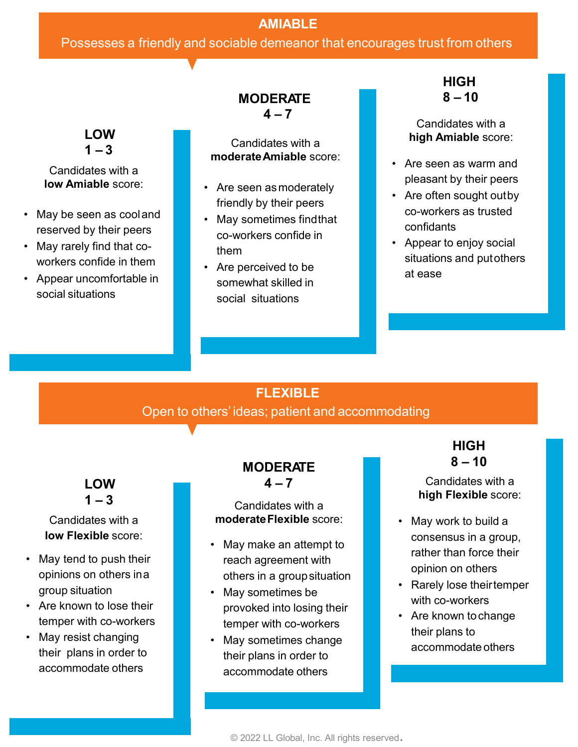#### **AMIABLE**

#### Possesses a friendly and sociable demeanor that encourages trust from others

#### **LOW**   $1 - 3$

Candidates with a

- May be seen as cooland reserved by their peers
- May rarely find that coworkers confide in them
- Appear uncomfortable in social situations

#### **MODERATE 8 – 10 4 – 7**

Candidates with a **moderate Amiable** score: **• Alternative Amiable Fig. 2.1 Contrary and American** and American Swarm and

- **low Amiable** score: **•** Are seen as moderately friendly by their peers
	- May sometimes findthat co-workers confide in them
	- Are perceived to be somewhat skilled in social situations

**HIGH**

Candidates with a **high Amiable** score:

- pleasant by their peers
- Are often sought outby co-workers as trusted confidants
- Appear to enjoy social situations and putothers at ease

### **FLEXIBLE**

Open to others' ideas; patient and accommodating

**LOW**  $1 - 3$ 

# Candidates with a

- May tend to push their opinions on others ina group situation
- Are known to lose their temper with co-workers
- May resist changing their plans in order to accommodate others

#### **MODERATE**   $4 - 7$

# Candidates with a<br> **moderate Flexible** score:

- **low Flexible** score:  **May make an attempt to** reach agreement with others in a groupsituation
	- May sometimes be provoked into losing their temper with co-workers
	- May sometimes change their plans in order to accommodate others

#### **HIGH 8 – 10**

Candidates with a **high Flexible** score:

- May work to build a consensus in a group, rather than force their opinion on others
- Rarely lose theirtemper with co-workers
- Are known tochange their plans to accommodate others

© 2022 LL Global, Inc. All rights reserved.